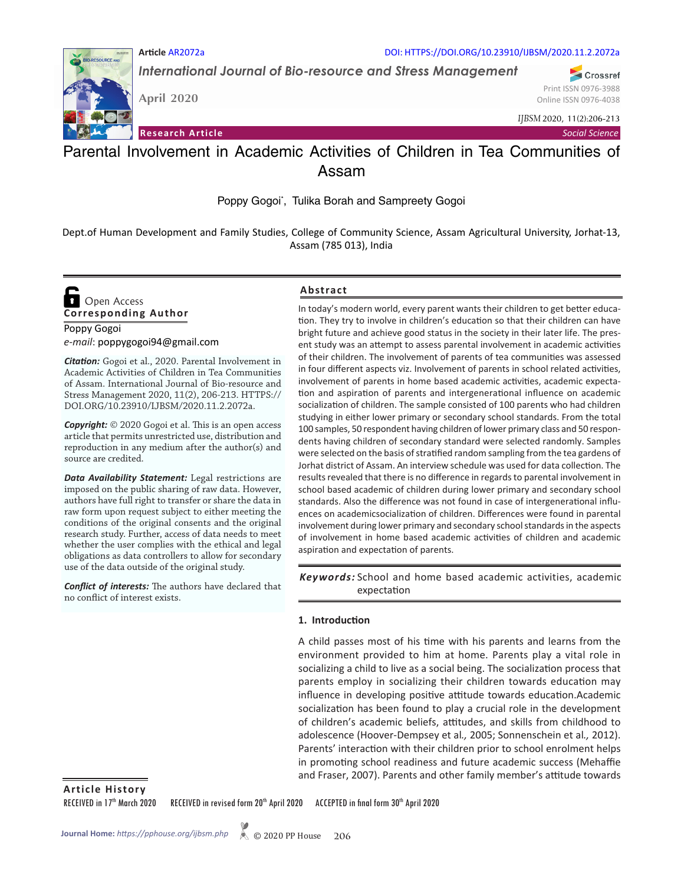

*International Journal of Bio-resource and Stress Management*

**April 2020**

**Research Article**

*IJBSM* 2020, 11(2):206-213

*Social Science*

# Parental Involvement in Academic Activities of Children in Tea Communities of Assam

Poppy Gogoi\*, Tulika Borah and Sampreety Gogoi

Dept.of Human Development and Family Studies, College of Community Science, Assam Agricultural University, Jorhat-13, Assam (785 013), India

## **Corresponding Author**  Open Access

## Poppy Gogoi *e-mail*: poppygogoi94@gmail.com

*Citation:* Gogoi et al., 2020. Parental Involvement in Academic Activities of Children in Tea Communities of Assam. International Journal of Bio-resource and Stress Management 2020, 11(2), 206-213. HTTPS:// DOI.ORG/10.23910/IJBSM/2020.11.2.2072a.

*Copyright:* © 2020 Gogoi et al. This is an open access article that permits unrestricted use, distribution and reproduction in any medium after the author(s) and source are credited.

*Data Availability Statement:* Legal restrictions are imposed on the public sharing of raw data. However, authors have full right to transfer or share the data in raw form upon request subject to either meeting the conditions of the original consents and the original research study. Further, access of data needs to meet whether the user complies with the ethical and legal obligations as data controllers to allow for secondary use of the data outside of the original study.

*Conflict of interests:* The authors have declared that no conflict of interest exists.

## **Abstract**

In today's modern world, every parent wants their children to get better education. They try to involve in children's education so that their children can have bright future and achieve good status in the society in their later life. The present study was an attempt to assess parental involvement in academic activities of their children. The involvement of parents of tea communities was assessed in four different aspects viz. Involvement of parents in school related activities, involvement of parents in home based academic activities, academic expectation and aspiration of parents and intergenerational influence on academic socialization of children. The sample consisted of 100 parents who had children studying in either lower primary or secondary school standards. From the total 100 samples, 50 respondent having children of lower primary class and 50 respondents having children of secondary standard were selected randomly. Samples were selected on the basis of stratified random sampling from the tea gardens of Jorhat district of Assam. An interview schedule was used for data collection. The results revealed that there is no difference in regards to parental involvement in school based academic of children during lower primary and secondary school standards. Also the difference was not found in case of intergenerational influences on academicsocialization of children. Differences were found in parental involvement during lower primary and secondary school standards in the aspects of involvement in home based academic activities of children and academic aspiration and expectation of parents.

Keywords: School and home based academic activities, academic expectation

## **1. Introduction**

A child passes most of his time with his parents and learns from the environment provided to him at home. Parents play a vital role in socializing a child to live as a social being. The socialization process that parents employ in socializing their children towards education may influence in developing positive attitude towards education.Academic socialization has been found to play a crucial role in the development of children's academic beliefs, attitudes, and skills from childhood to adolescence (Hoover-Dempsey et al*.,* 2005; Sonnenschein et al*.,* 2012). Parents' interaction with their children prior to school enrolment helps in promoting school readiness and future academic success (Mehaffie and Fraser, 2007). Parents and other family member's attitude towards

**Article History**

RECEIVED in 17<sup>th</sup> March 2020 RECEIVED in revised form 20<sup>th</sup> April 2020 ACCEPTED in final form 30<sup>th</sup> April 2020



Crossref Print ISSN 0976-3988 Online ISSN 0976-4038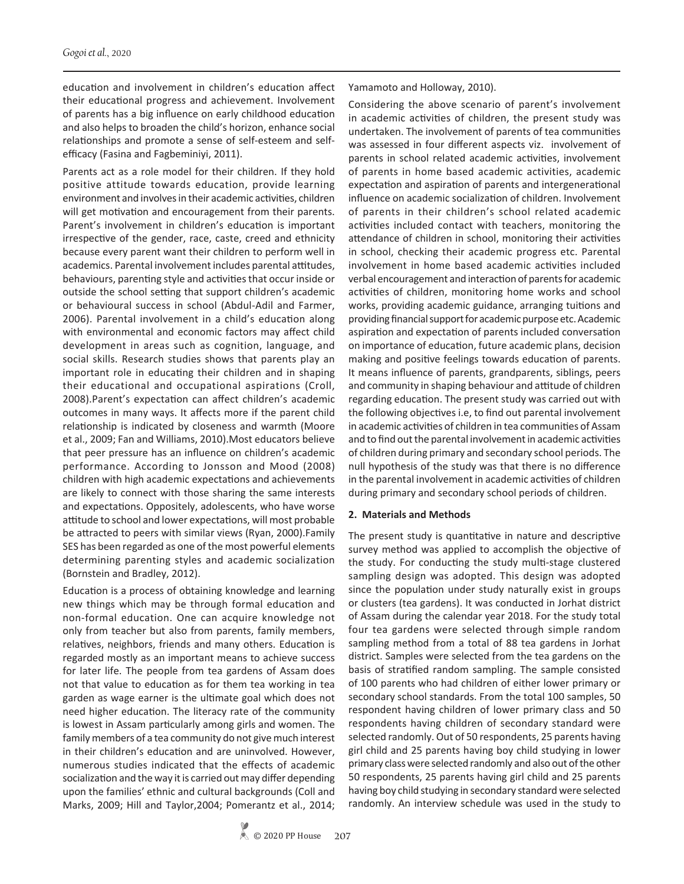education and involvement in children's education affect their educational progress and achievement. Involvement of parents has a big influence on early childhood education and also helps to broaden the child's horizon, enhance social relationships and promote a sense of self-esteem and selfefficacy (Fasina and Fagbeminiyi, 2011).

Parents act as a role model for their children. If they hold positive attitude towards education, provide learning environment and involves in their academic activities, children will get motivation and encouragement from their parents. Parent's involvement in children's education is important irrespective of the gender, race, caste, creed and ethnicity because every parent want their children to perform well in academics. Parental involvement includes parental attitudes, behaviours, parenting style and activities that occur inside or outside the school setting that support children's academic or behavioural success in school (Abdul-Adil and Farmer, 2006). Parental involvement in a child's education along with environmental and economic factors may affect child development in areas such as cognition, language, and social skills. Research studies shows that parents play an important role in educating their children and in shaping their educational and occupational aspirations (Croll, 2008).Parent's expectation can affect children's academic outcomes in many ways. It affects more if the parent child relationship is indicated by closeness and warmth (Moore et al., 2009; Fan and Williams, 2010).Most educators believe that peer pressure has an influence on children's academic performance. According to Jonsson and Mood (2008) children with high academic expectations and achievements are likely to connect with those sharing the same interests and expectations. Oppositely, adolescents, who have worse attitude to school and lower expectations, will most probable be attracted to peers with similar views (Ryan, 2000).Family SES has been regarded as one of the most powerful elements determining parenting styles and academic socialization (Bornstein and Bradley, 2012).

Education is a process of obtaining knowledge and learning new things which may be through formal education and non-formal education. One can acquire knowledge not only from teacher but also from parents, family members, relatives, neighbors, friends and many others. Education is regarded mostly as an important means to achieve success for later life. The people from tea gardens of Assam does not that value to education as for them tea working in tea garden as wage earner is the ultimate goal which does not need higher education. The literacy rate of the community is lowest in Assam particularly among girls and women. The family members of a tea community do not give much interest in their children's education and are uninvolved. However, numerous studies indicated that the effects of academic socialization and the way it is carried out may differ depending upon the families' ethnic and cultural backgrounds (Coll and Marks, 2009; Hill and Taylor,2004; Pomerantz et al., 2014;

Yamamoto and Holloway, 2010).

Considering the above scenario of parent's involvement in academic activities of children, the present study was undertaken. The involvement of parents of tea communities was assessed in four different aspects viz. involvement of parents in school related academic activities, involvement of parents in home based academic activities, academic expectation and aspiration of parents and intergenerational influence on academic socialization of children. Involvement of parents in their children's school related academic activities included contact with teachers, monitoring the attendance of children in school, monitoring their activities in school, checking their academic progress etc. Parental involvement in home based academic activities included verbal encouragement and interaction of parents for academic activities of children, monitoring home works and school works, providing academic guidance, arranging tuitions and providing financial support for academic purpose etc. Academic aspiration and expectation of parents included conversation on importance of education, future academic plans, decision making and positive feelings towards education of parents. It means influence of parents, grandparents, siblings, peers and community in shaping behaviour and attitude of children regarding education. The present study was carried out with the following objectives i.e, to find out parental involvement in academic activities of children in tea communities of Assam and to find out the parental involvement in academic activities of children during primary and secondary school periods. The null hypothesis of the study was that there is no difference in the parental involvement in academic activities of children during primary and secondary school periods of children.

#### **2. Materials and Methods**

The present study is quantitative in nature and descriptive survey method was applied to accomplish the objective of the study. For conducting the study multi-stage clustered sampling design was adopted. This design was adopted since the population under study naturally exist in groups or clusters (tea gardens). It was conducted in Jorhat district of Assam during the calendar year 2018. For the study total four tea gardens were selected through simple random sampling method from a total of 88 tea gardens in Jorhat district. Samples were selected from the tea gardens on the basis of stratified random sampling. The sample consisted of 100 parents who had children of either lower primary or secondary school standards. From the total 100 samples, 50 respondent having children of lower primary class and 50 respondents having children of secondary standard were selected randomly. Out of 50 respondents, 25 parents having girl child and 25 parents having boy child studying in lower primary class were selected randomly and also out of the other 50 respondents, 25 parents having girl child and 25 parents having boy child studying in secondary standard were selected randomly. An interview schedule was used in the study to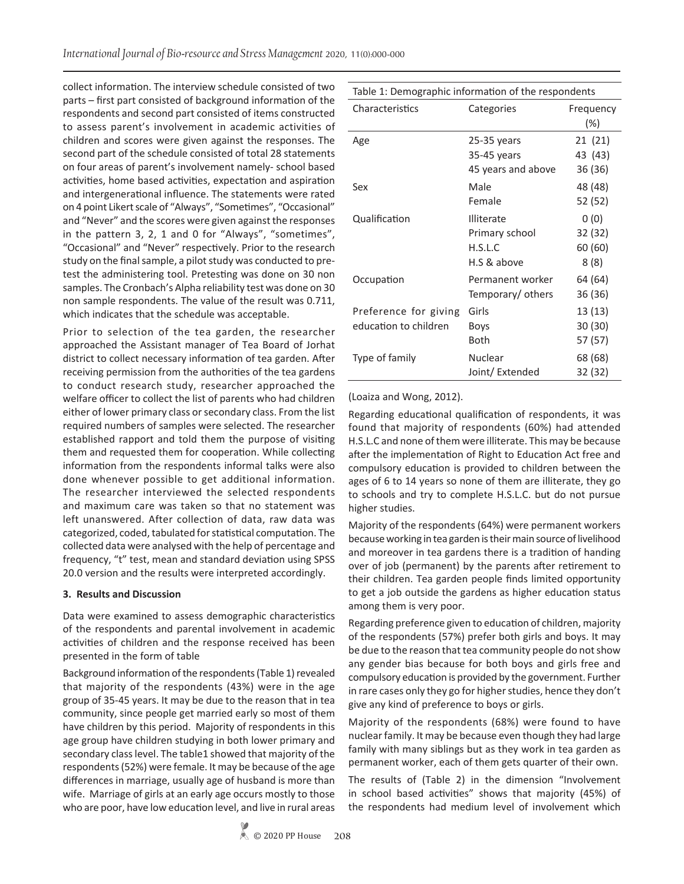collect information. The interview schedule consisted of two parts – first part consisted of background information of the respondents and second part consisted of items constructed to assess parent's involvement in academic activities of children and scores were given against the responses. The second part of the schedule consisted of total 28 statements on four areas of parent's involvement namely- school based activities, home based activities, expectation and aspiration and intergenerational influence. The statements were rated on 4 point Likert scale of "Always", "Sometimes", "Occasional" and "Never" and the scores were given against the responses in the pattern 3, 2, 1 and 0 for "Always", "sometimes", "Occasional" and "Never" respectively. Prior to the research study on the final sample, a pilot study was conducted to pretest the administering tool. Pretesting was done on 30 non samples. The Cronbach's Alpha reliability test was done on 30 non sample respondents. The value of the result was 0.711, which indicates that the schedule was acceptable.

Prior to selection of the tea garden, the researcher approached the Assistant manager of Tea Board of Jorhat district to collect necessary information of tea garden. After receiving permission from the authorities of the tea gardens to conduct research study, researcher approached the welfare officer to collect the list of parents who had children either of lower primary class or secondary class. From the list required numbers of samples were selected. The researcher established rapport and told them the purpose of visiting them and requested them for cooperation. While collecting information from the respondents informal talks were also done whenever possible to get additional information. The researcher interviewed the selected respondents and maximum care was taken so that no statement was left unanswered. After collection of data, raw data was categorized, coded, tabulated for statistical computation. The collected data were analysed with the help of percentage and frequency, "t" test, mean and standard deviation using SPSS 20.0 version and the results were interpreted accordingly.

#### **3. Results and Discussion**

Data were examined to assess demographic characteristics of the respondents and parental involvement in academic activities of children and the response received has been presented in the form of table

Background information of the respondents (Table 1) revealed that majority of the respondents (43%) were in the age group of 35-45 years. It may be due to the reason that in tea community, since people get married early so most of them have children by this period. Majority of respondents in this age group have children studying in both lower primary and secondary class level. The table1 showed that majority of the respondents (52%) were female. It may be because of the age differences in marriage, usually age of husband is more than wife. Marriage of girls at an early age occurs mostly to those who are poor, have low education level, and live in rural areas

| rable 1. Demographic imorniation or the respondents |                                                               |                                     |  |  |  |  |
|-----------------------------------------------------|---------------------------------------------------------------|-------------------------------------|--|--|--|--|
| Characteristics                                     | Categories                                                    | Frequency<br>$(\%)$                 |  |  |  |  |
| Age                                                 | $25-35$ years<br>35-45 years<br>45 years and above            | 21 (21)<br>43 (43)<br>36 (36)       |  |  |  |  |
| Sex                                                 | Male<br>Female                                                | 48 (48)<br>52 (52)                  |  |  |  |  |
| Qualification                                       | <b>Illiterate</b><br>Primary school<br>H.S.L.C<br>H.S & above | 0(0)<br>32 (32)<br>60 (60)<br>8 (8) |  |  |  |  |
| Occupation                                          | Permanent worker<br>Temporary/ others                         | 64 (64)<br>36 (36)                  |  |  |  |  |
| Preference for giving<br>education to children      | Girls<br><b>Boys</b><br>Both                                  | 13 (13)<br>30 (30)<br>57 (57)       |  |  |  |  |
| Type of family                                      | Nuclear<br>Joint/ Extended                                    | 68 (68)<br>32 (32)                  |  |  |  |  |

## (Loaiza and Wong, 2012).

Regarding educational qualification of respondents, it was found that majority of respondents (60%) had attended H.S.L.C and none of them were illiterate. This may be because after the implementation of Right to Education Act free and compulsory education is provided to children between the ages of 6 to 14 years so none of them are illiterate, they go to schools and try to complete H.S.L.C. but do not pursue higher studies.

Majority of the respondents (64%) were permanent workers because working in tea garden is their main source of livelihood and moreover in tea gardens there is a tradition of handing over of job (permanent) by the parents after retirement to their children. Tea garden people finds limited opportunity to get a job outside the gardens as higher education status among them is very poor.

Regarding preference given to education of children, majority of the respondents (57%) prefer both girls and boys. It may be due to the reason that tea community people do not show any gender bias because for both boys and girls free and compulsory education is provided by the government. Further in rare cases only they go for higher studies, hence they don't give any kind of preference to boys or girls.

Majority of the respondents (68%) were found to have nuclear family. It may be because even though they had large family with many siblings but as they work in tea garden as permanent worker, each of them gets quarter of their own.

The results of (Table 2) in the dimension "Involvement in school based activities" shows that majority (45%) of the respondents had medium level of involvement which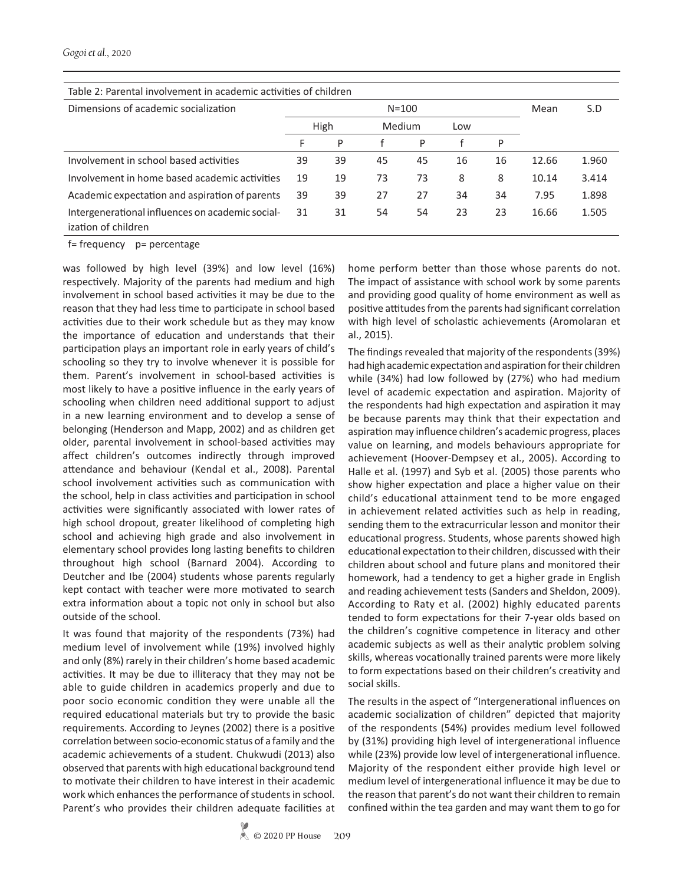## Table 2: Parental involvement in academic activities of children

| Dimensions of academic socialization                                    | $N = 100$ |    |        |    |     |    | Mean  | S.D   |
|-------------------------------------------------------------------------|-----------|----|--------|----|-----|----|-------|-------|
|                                                                         | High      |    | Medium |    | Low |    |       |       |
|                                                                         | F         | P  |        | P  |     | P  |       |       |
| Involvement in school based activities                                  | 39        | 39 | 45     | 45 | 16  | 16 | 12.66 | 1.960 |
| Involvement in home based academic activities                           | 19        | 19 | 73     | 73 | 8   | 8  | 10.14 | 3.414 |
| Academic expectation and aspiration of parents                          | 39        | 39 | 27     | 27 | 34  | 34 | 7.95  | 1.898 |
| Intergenerational influences on academic social-<br>ization of children | 31        | 31 | 54     | 54 | 23  | 23 | 16.66 | 1.505 |

f= frequency p= percentage

was followed by high level (39%) and low level (16%) respectively. Majority of the parents had medium and high involvement in school based activities it may be due to the reason that they had less time to participate in school based activities due to their work schedule but as they may know the importance of education and understands that their participation plays an important role in early years of child's schooling so they try to involve whenever it is possible for them. Parent's involvement in school-based activities is most likely to have a positive influence in the early years of schooling when children need additional support to adjust in a new learning environment and to develop a sense of belonging (Henderson and Mapp, 2002) and as children get older, parental involvement in school-based activities may affect children's outcomes indirectly through improved attendance and behaviour (Kendal et al., 2008). Parental school involvement activities such as communication with the school, help in class activities and participation in school activities were significantly associated with lower rates of high school dropout, greater likelihood of completing high school and achieving high grade and also involvement in elementary school provides long lasting benefits to children throughout high school (Barnard 2004). According to Deutcher and Ibe (2004) students whose parents regularly kept contact with teacher were more motivated to search extra information about a topic not only in school but also outside of the school.

It was found that majority of the respondents (73%) had medium level of involvement while (19%) involved highly and only (8%) rarely in their children's home based academic activities. It may be due to illiteracy that they may not be able to guide children in academics properly and due to poor socio economic condition they were unable all the required educational materials but try to provide the basic requirements. According to Jeynes (2002) there is a positive correlation between socio-economic status of a family and the academic achievements of a student. Chukwudi (2013) also observed that parents with high educational background tend to motivate their children to have interest in their academic work which enhances the performance of students in school. Parent's who provides their children adequate facilities at home perform better than those whose parents do not. The impact of assistance with school work by some parents and providing good quality of home environment as well as positive attitudes from the parents had significant correlation with high level of scholastic achievements (Aromolaran et al., 2015).

The findings revealed that majority of the respondents (39%) had high academic expectation and aspiration for their children while (34%) had low followed by (27%) who had medium level of academic expectation and aspiration. Majority of the respondents had high expectation and aspiration it may be because parents may think that their expectation and aspiration may influence children's academic progress, places value on learning, and models behaviours appropriate for achievement (Hoover-Dempsey et al., 2005). According to Halle et al. (1997) and Syb et al. (2005) those parents who show higher expectation and place a higher value on their child's educational attainment tend to be more engaged in achievement related activities such as help in reading, sending them to the extracurricular lesson and monitor their educational progress. Students, whose parents showed high educational expectation to their children, discussed with their children about school and future plans and monitored their homework, had a tendency to get a higher grade in English and reading achievement tests (Sanders and Sheldon, 2009). According to Raty et al. (2002) highly educated parents tended to form expectations for their 7-year olds based on the children's cognitive competence in literacy and other academic subjects as well as their analytic problem solving skills, whereas vocationally trained parents were more likely to form expectations based on their children's creativity and social skills.

The results in the aspect of "Intergenerational influences on academic socialization of children" depicted that majority of the respondents (54%) provides medium level followed by (31%) providing high level of intergenerational influence while (23%) provide low level of intergenerational influence. Majority of the respondent either provide high level or medium level of intergenerational influence it may be due to the reason that parent's do not want their children to remain confined within the tea garden and may want them to go for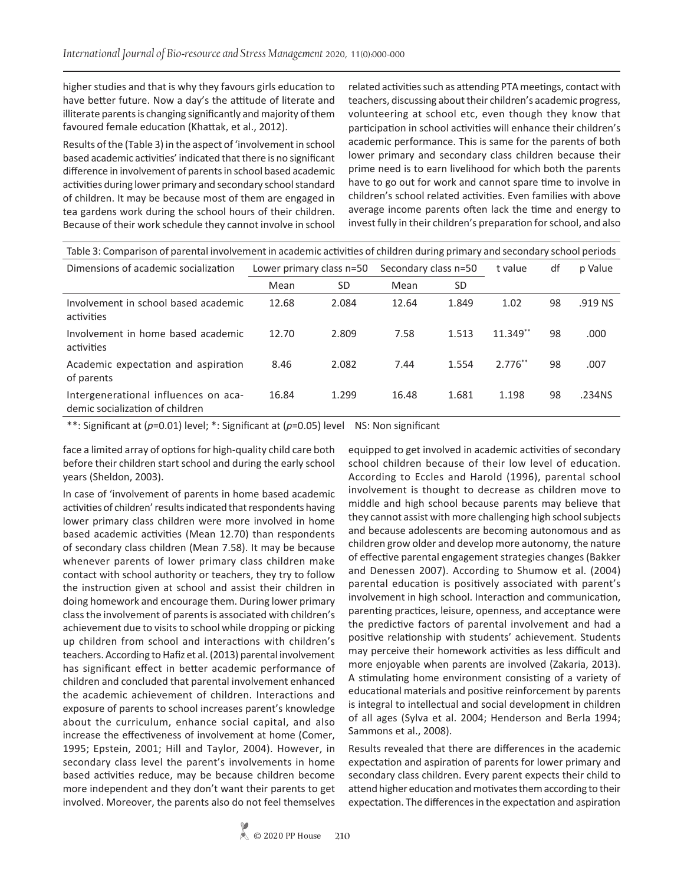higher studies and that is why they favours girls education to have better future. Now a day's the attitude of literate and illiterate parents is changing significantly and majority of them favoured female education (Khattak, et al., 2012).

Results of the (Table 3) in the aspect of 'involvement in school based academic activities' indicated that there is no significant difference in involvement of parents in school based academic activities during lower primary and secondary school standard of children. It may be because most of them are engaged in tea gardens work during the school hours of their children. Because of their work schedule they cannot involve in school

related activities such as attending PTA meetings, contact with teachers, discussing about their children's academic progress, volunteering at school etc, even though they know that participation in school activities will enhance their children's academic performance. This is same for the parents of both lower primary and secondary class children because their prime need is to earn livelihood for which both the parents have to go out for work and cannot spare time to involve in children's school related activities. Even families with above average income parents often lack the time and energy to invest fully in their children's preparation for school, and also

| Table 3: Comparison of parental involvement in academic activities of children during primary and secondary school periods |                          |       |                      |       |            |    |         |  |
|----------------------------------------------------------------------------------------------------------------------------|--------------------------|-------|----------------------|-------|------------|----|---------|--|
| Dimensions of academic socialization                                                                                       | Lower primary class n=50 |       | Secondary class n=50 |       | t value    | df | p Value |  |
|                                                                                                                            | Mean                     | SD    | Mean                 | SD    |            |    |         |  |
| Involvement in school based academic<br>activities                                                                         | 12.68                    | 2.084 | 12.64                | 1.849 | 1.02       | 98 | .919 NS |  |
| Involvement in home based academic<br>activities                                                                           | 12.70                    | 2.809 | 7.58                 | 1.513 | $11.349**$ | 98 | .000    |  |
| Academic expectation and aspiration<br>of parents                                                                          | 8.46                     | 2.082 | 7.44                 | 1.554 | $2.776**$  | 98 | .007    |  |
| Intergenerational influences on aca-<br>demic socialization of children                                                    | 16.84                    | 1.299 | 16.48                | 1.681 | 1.198      | 98 | .234NS  |  |

\*\*: Significant at (*p*=0.01) level; \*: Significant at (*p*=0.05) level NS: Non significant

face a limited array of options for high-quality child care both before their children start school and during the early school years (Sheldon, 2003).

In case of 'involvement of parents in home based academic activities of children' results indicated that respondents having lower primary class children were more involved in home based academic activities (Mean 12.70) than respondents of secondary class children (Mean 7.58). It may be because whenever parents of lower primary class children make contact with school authority or teachers, they try to follow the instruction given at school and assist their children in doing homework and encourage them. During lower primary class the involvement of parents is associated with children's achievement due to visits to school while dropping or picking up children from school and interactions with children's teachers. According to Hafiz et al. (2013) parental involvement has significant effect in better academic performance of children and concluded that parental involvement enhanced the academic achievement of children. Interactions and exposure of parents to school increases parent's knowledge about the curriculum, enhance social capital, and also increase the effectiveness of involvement at home (Comer, 1995; Epstein, 2001; Hill and Taylor, 2004). However, in secondary class level the parent's involvements in home based activities reduce, may be because children become more independent and they don't want their parents to get involved. Moreover, the parents also do not feel themselves

equipped to get involved in academic activities of secondary school children because of their low level of education. According to Eccles and Harold (1996), parental school involvement is thought to decrease as children move to middle and high school because parents may believe that they cannot assist with more challenging high school subjects and because adolescents are becoming autonomous and as children grow older and develop more autonomy, the nature of effective parental engagement strategies changes (Bakker and Denessen 2007). According to Shumow et al. (2004) parental education is positively associated with parent's involvement in high school. Interaction and communication, parenting practices, leisure, openness, and acceptance were the predictive factors of parental involvement and had a positive relationship with students' achievement. Students may perceive their homework activities as less difficult and more enjoyable when parents are involved (Zakaria, 2013). A stimulating home environment consisting of a variety of educational materials and positive reinforcement by parents is integral to intellectual and social development in children of all ages (Sylva et al. 2004; Henderson and Berla 1994; Sammons et al., 2008).

Results revealed that there are differences in the academic expectation and aspiration of parents for lower primary and secondary class children. Every parent expects their child to attend higher education and motivates them according to their expectation. The differences in the expectation and aspiration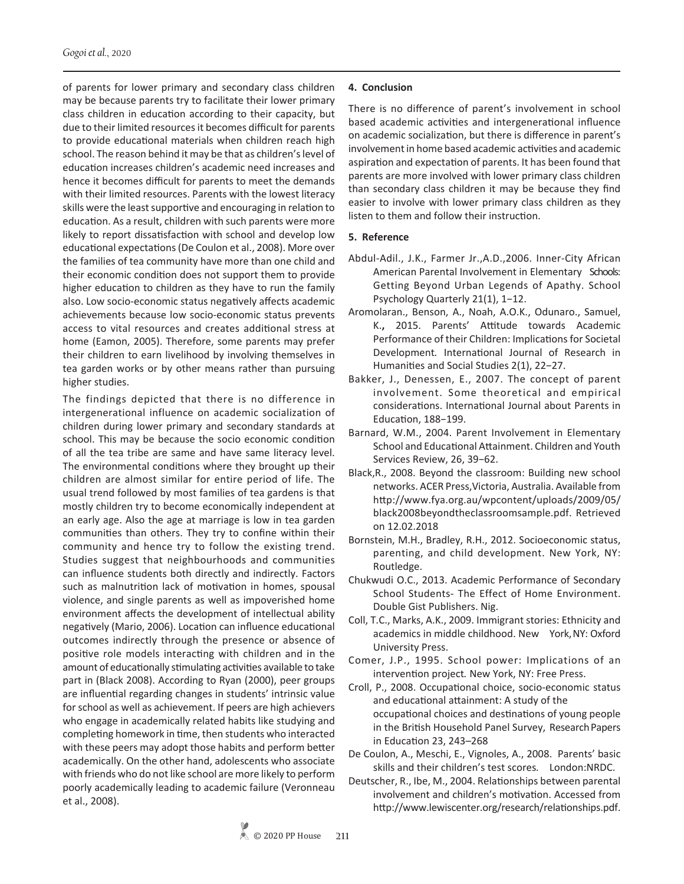of parents for lower primary and secondary class children may be because parents try to facilitate their lower primary class children in education according to their capacity, but due to their limited resources it becomes difficult for parents to provide educational materials when children reach high school. The reason behind it may be that as children's level of education increases children's academic need increases and hence it becomes difficult for parents to meet the demands with their limited resources. Parents with the lowest literacy skills were the least supportive and encouraging in relation to education. As a result, children with such parents were more likely to report dissatisfaction with school and develop low educational expectations (De Coulon et al., 2008). More over the families of tea community have more than one child and their economic condition does not support them to provide higher education to children as they have to run the family also. Low socio-economic status negatively affects academic achievements because low socio-economic status prevents access to vital resources and creates additional stress at home (Eamon, 2005). Therefore, some parents may prefer their children to earn livelihood by involving themselves in tea garden works or by other means rather than pursuing higher studies.

The findings depicted that there is no difference in intergenerational influence on academic socialization of children during lower primary and secondary standards at school. This may be because the socio economic condition of all the tea tribe are same and have same literacy level. The environmental conditions where they brought up their children are almost similar for entire period of life. The usual trend followed by most families of tea gardens is that mostly children try to become economically independent at an early age. Also the age at marriage is low in tea garden communities than others. They try to confine within their community and hence try to follow the existing trend. Studies suggest that neighbourhoods and communities can influence students both directly and indirectly. Factors such as malnutrition lack of motivation in homes, spousal violence, and single parents as well as impoverished home environment affects the development of intellectual ability negatively (Mario, 2006). Location can influence educational outcomes indirectly through the presence or absence of positive role models interacting with children and in the amount of educationally stimulating activities available to take part in (Black 2008). According to Ryan (2000), peer groups are influential regarding changes in students' intrinsic value for school as well as achievement. If peers are high achievers who engage in academically related habits like studying and completing homework in time, then students who interacted with these peers may adopt those habits and perform better academically. On the other hand, adolescents who associate with friends who do not like school are more likely to perform poorly academically leading to academic failure (Veronneau et al., 2008).

## **4. Conclusion**

There is no difference of parent's involvement in school based academic activities and intergenerational influence on academic socialization, but there is difference in parent's involvement in home based academic activities and academic aspiration and expectation of parents. It has been found that parents are more involved with lower primary class children than secondary class children it may be because they find easier to involve with lower primary class children as they listen to them and follow their instruction.

## **5. Reference**

- Abdul-Adil., J.K., Farmer Jr.,A.D.,2006. Inner-City African American Parental Involvement in Elementary Schools: Getting Beyond Urban Legends of Apathy. School Psychology Quarterly 21(1), 1−12.
- Aromolaran., Benson, A., Noah, A.O.K., Odunaro., Samuel, K.**,** 2015. Parents' Attitude towards Academic Performance of their Children: Implications for Societal Development*.* International Journal of Research in Humanities and Social Studies 2(1), 22−27.
- Bakker, J., Denessen, E., 2007. The concept of parent involvement. Some theoretical and empirical considerations. International Journal about Parents in Education, 188−199.
- Barnard, W.M., 2004. Parent Involvement in Elementary School and Educational Attainment. Children and Youth Services Review, 26, 39−62.
- Black,R., 2008. Beyond the classroom: Building new school networks. ACER Press,Victoria, Australia. Available from http://www.fya.org.au/wpcontent/uploads/2009/05/ black2008beyondtheclassroomsample.pdf. Retrieved on 12.02.2018
- Bornstein, M.H., Bradley, R.H., 2012. Socioeconomic status, parenting, and child development. New York, NY: Routledge.
- Chukwudi O.C., 2013. Academic Performance of Secondary School Students- The Effect of Home Environment. Double Gist Publishers. Nig.
- Coll, T.C., Marks, A.K., 2009. Immigrant stories: Ethnicity and academics in middle childhood. New York, NY: Oxford University Press.
- Comer, J.P., 1995. School power: Implications of an intervention project*.* New York, NY: Free Press.
- Croll, P., 2008. Occupational choice, socio-economic status and educational attainment: A study of the occupational choices and destinations of young people in the British Household Panel Survey, Research Papers in Education 23, 243–268
- De Coulon, A., Meschi, E., Vignoles, A., 2008. Parents' basic skills and their children's test scores*.* London:NRDC.
- Deutscher, R., Ibe, M., 2004. Relationships between parental involvement and children's motivation. Accessed from http://www.lewiscenter.org/research/relationships.pdf.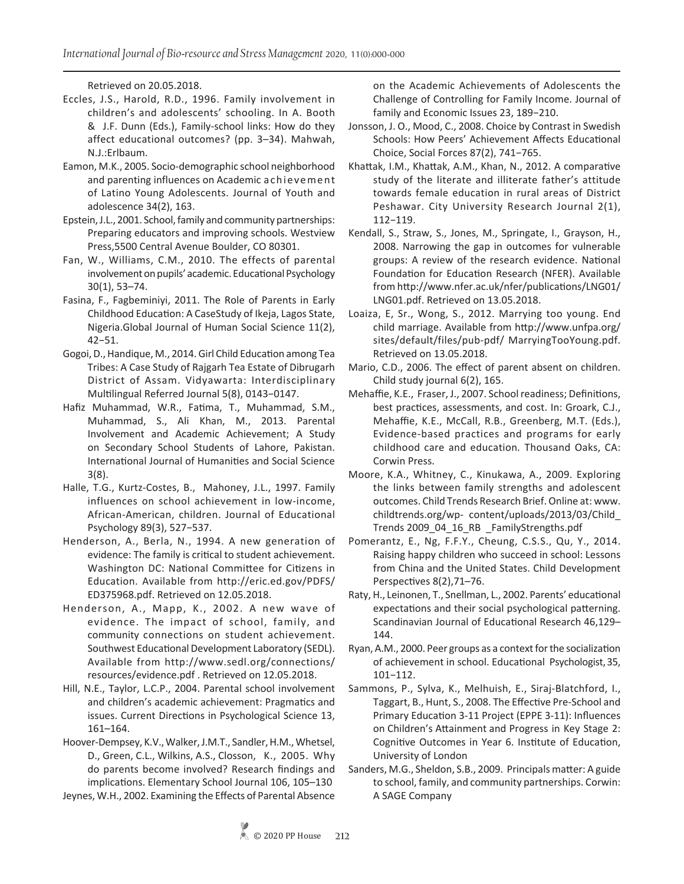Retrieved on 20.05.2018.

- Eccles, J.S., Harold, R.D., 1996. Family involvement in children's and adolescents' schooling. In A. Booth & J.F. Dunn (Eds.), Family-school links: How do they affect educational outcomes? (pp. 3–34). Mahwah, N.J.:Erlbaum.
- Eamon, M.K., 2005. Socio-demographic school neighborhood and parenting influences on Academic achievement of Latino Young Adolescents. Journal of Youth and adolescence 34(2), 163.
- Epstein, J.L., 2001. School, family and community partnerships: Preparing educators and improving schools. Westview Press,5500 Central Avenue Boulder, CO 80301.
- Fan, W., Williams, C.M., 2010. The effects of parental involvement on pupils' academic. Educational Psychology 30(1), 53–74.
- Fasina, F., Fagbeminiyi, 2011. The Role of Parents in Early Childhood Education: A CaseStudy of Ikeja, Lagos State, Nigeria.Global Journal of Human Social Science 11(2), 42−51.
- Gogoi, D., Handique, M., 2014. Girl Child Education among Tea Tribes: A Case Study of Rajgarh Tea Estate of Dibrugarh District of Assam. Vidyawarta: Interdisciplinary Multilingual Referred Journal 5(8), 0143−0147.
- Hafiz Muhammad, W.R., Fatima, T., Muhammad, S.M., Muhammad, S., Ali Khan, M., 2013. Parental Involvement and Academic Achievement; A Study on Secondary School Students of Lahore, Pakistan. International Journal of Humanities and Social Science 3(8).
- Halle, T.G., Kurtz-Costes, B., Mahoney, J.L., 1997. Family influences on school achievement in low-income, African-American, children. Journal of Educational Psychology 89(3), 527−537.
- Henderson, A., Berla, N., 1994. A new generation of evidence: The family is critical to student achievement. Washington DC: National Committee for Citizens in Education. Available from http://eric.ed.gov/PDFS/ ED375968.pdf. Retrieved on 12.05.2018.
- Henderson, A., Mapp, K., 2002. A new wave of evidence. The impact of school, family, and community connections on student achievement. Southwest Educational Development Laboratory (SEDL). Available from http://www.sedl.org/connections/ resources/evidence.pdf . Retrieved on 12.05.2018.
- Hill, N.E., Taylor, L.C.P., 2004. Parental school involvement and children's academic achievement: Pragmatics and issues. Current Directions in Psychological Science 13, 161–164.

Hoover-Dempsey, K.V., Walker, J.M.T., Sandler, H.M., Whetsel, D., Green, C.L., Wilkins, A.S., Closson, K., 2005. Why do parents become involved? Research findings and implications. Elementary School Journal 106, 105–130

Jeynes, W.H., 2002. Examining the Effects of Parental Absence

on the Academic Achievements of Adolescents the Challenge of Controlling for Family Income. Journal of family and Economic Issues 23, 189−210.

- Jonsson, J. O., Mood, C., 2008. Choice by Contrast in Swedish Schools: How Peers' Achievement Affects Educational Choice, Social Forces 87(2), 741−765.
- Khattak, I.M., Khattak, A.M., Khan, N., 2012. A comparative study of the literate and illiterate father's attitude towards female education in rural areas of District Peshawar. City University Research Journal 2(1), 112−119.
- Kendall, S., Straw, S., Jones, M., Springate, I., Grayson, H., 2008. Narrowing the gap in outcomes for vulnerable groups: A review of the research evidence. National Foundation for Education Research (NFER). Available from http://www.nfer.ac.uk/nfer/publications/LNG01/ LNG01.pdf. Retrieved on 13.05.2018.
- Loaiza, E, Sr., Wong, S., 2012. Marrying too young. End child marriage. Available from http://www.unfpa.org/ sites/default/files/pub-pdf/ MarryingTooYoung.pdf. Retrieved on 13.05.2018.
- Mario, C.D., 2006. The effect of parent absent on children. Child study journal 6(2), 165.
- Mehaffie, K.E., Fraser, J., 2007. School readiness; Definitions, best practices, assessments, and cost. In: Groark, C.J., Mehaffie, K.E., McCall, R.B., Greenberg, M.T. (Eds.), Evidence-based practices and programs for early childhood care and education*.* Thousand Oaks, CA: Corwin Press.
- Moore, K.A., Whitney, C., Kinukawa, A., 2009. Exploring the links between family strengths and adolescent outcomes. Child Trends Research Brief. Online at: www. childtrends.org/wp- content/uploads/2013/03/Child\_ Trends 2009\_04\_16\_RB \_FamilyStrengths.pdf
- Pomerantz, E., Ng, F.F.Y., Cheung, C.S.S., Qu, Y., 2014. Raising happy children who succeed in school: Lessons from China and the United States. Child Development Perspectives 8(2),71–76.
- Raty, H., Leinonen, T., Snellman, L., 2002. Parents' educational expectations and their social psychological patterning. Scandinavian Journal of Educational Research 46,129– 144.
- Ryan, A.M., 2000. Peer groups as a context for the socialization of achievement in school. Educational Psychologist, 35, 101−112.
- Sammons, P., Sylva, K., Melhuish, E., Siraj-Blatchford, I., Taggart, B., Hunt, S., 2008. The Effective Pre-School and Primary Education 3-11 Project (EPPE 3-11): Influences on Children's Attainment and Progress in Key Stage 2: Cognitive Outcomes in Year 6. Institute of Education, University of London
- Sanders, M.G., Sheldon, S.B., 2009. Principals matter: A guide to school, family, and community partnerships. Corwin: A SAGE Company